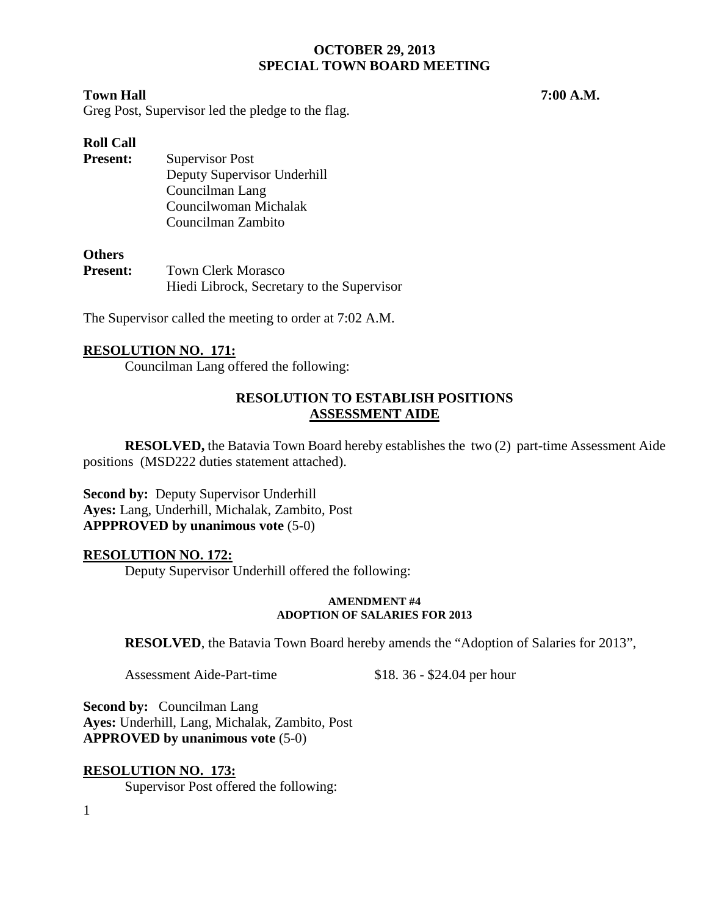#### **Town Hall 7:00 A.M.**

Greg Post, Supervisor led the pledge to the flag.

# **Roll Call**

**Present:** Supervisor Post Deputy Supervisor Underhill Councilman Lang Councilwoman Michalak Councilman Zambito

#### **Others**

| <b>Present:</b> | <b>Town Clerk Morasco</b>                  |
|-----------------|--------------------------------------------|
|                 | Hiedi Librock, Secretary to the Supervisor |

The Supervisor called the meeting to order at 7:02 A.M.

## **RESOLUTION NO. 171:**

Councilman Lang offered the following:

## **RESOLUTION TO ESTABLISH POSITIONS ASSESSMENT AIDE**

**RESOLVED,** the Batavia Town Board hereby establishes the two (2) part-time Assessment Aide positions (MSD222 duties statement attached).

**Second by:** Deputy Supervisor Underhill **Ayes:** Lang, Underhill, Michalak, Zambito, Post **APPPROVED by unanimous vote** (5-0)

## **RESOLUTION NO. 172:**

Deputy Supervisor Underhill offered the following:

#### **AMENDMENT #4 ADOPTION OF SALARIES FOR 2013**

**RESOLVED**, the Batavia Town Board hereby amends the "Adoption of Salaries for 2013",

Assessment Aide-Part-time \$18. 36 - \$24.04 per hour

**Second by: Councilman Lang Ayes:** Underhill, Lang, Michalak, Zambito, Post **APPROVED by unanimous vote** (5-0)

## **RESOLUTION NO. 173:**

Supervisor Post offered the following: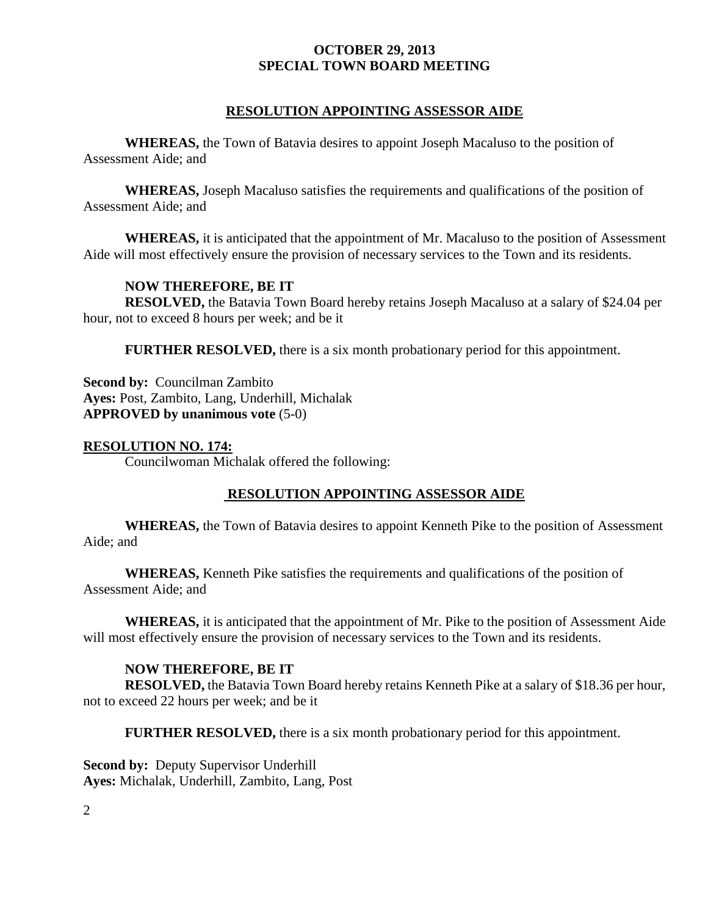## **RESOLUTION APPOINTING ASSESSOR AIDE**

**WHEREAS,** the Town of Batavia desires to appoint Joseph Macaluso to the position of Assessment Aide; and

**WHEREAS,** Joseph Macaluso satisfies the requirements and qualifications of the position of Assessment Aide; and

**WHEREAS,** it is anticipated that the appointment of Mr. Macaluso to the position of Assessment Aide will most effectively ensure the provision of necessary services to the Town and its residents.

## **NOW THEREFORE, BE IT**

**RESOLVED,** the Batavia Town Board hereby retains Joseph Macaluso at a salary of \$24.04 per hour, not to exceed 8 hours per week; and be it

**FURTHER RESOLVED,** there is a six month probationary period for this appointment.

**Second by:** Councilman Zambito **Ayes:** Post, Zambito, Lang, Underhill, Michalak **APPROVED by unanimous vote** (5-0)

#### **RESOLUTION NO. 174:**

Councilwoman Michalak offered the following:

## **RESOLUTION APPOINTING ASSESSOR AIDE**

**WHEREAS,** the Town of Batavia desires to appoint Kenneth Pike to the position of Assessment Aide; and

**WHEREAS,** Kenneth Pike satisfies the requirements and qualifications of the position of Assessment Aide; and

**WHEREAS,** it is anticipated that the appointment of Mr. Pike to the position of Assessment Aide will most effectively ensure the provision of necessary services to the Town and its residents.

## **NOW THEREFORE, BE IT**

**RESOLVED,** the Batavia Town Board hereby retains Kenneth Pike at a salary of \$18.36 per hour, not to exceed 22 hours per week; and be it

**FURTHER RESOLVED,** there is a six month probationary period for this appointment.

**Second by:** Deputy Supervisor Underhill **Ayes:** Michalak, Underhill, Zambito, Lang, Post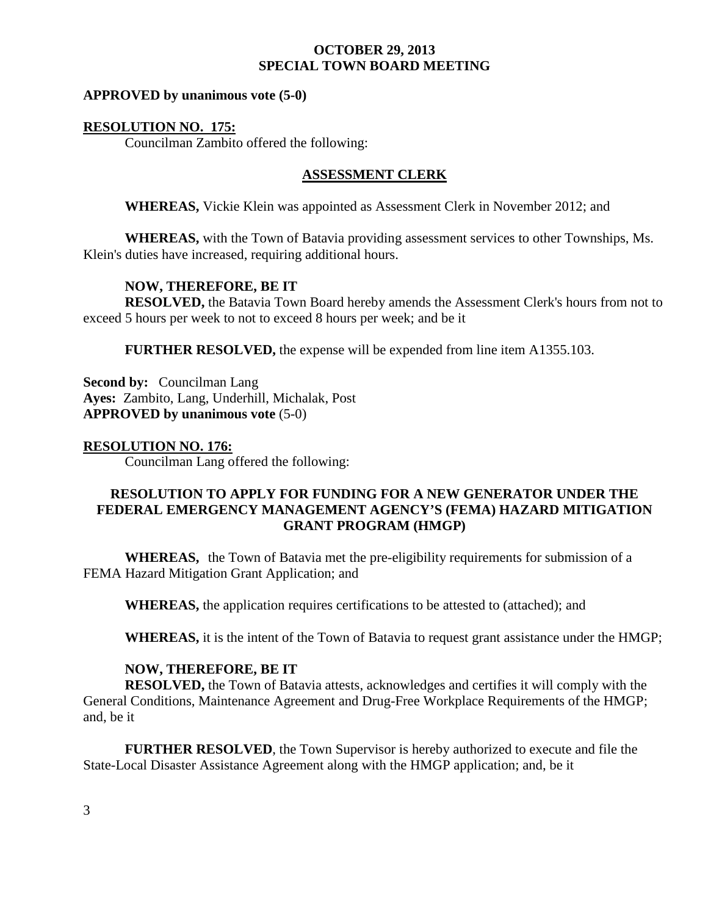#### **APPROVED by unanimous vote (5-0)**

#### **RESOLUTION NO. 175:**

Councilman Zambito offered the following:

## **ASSESSMENT CLERK**

**WHEREAS,** Vickie Klein was appointed as Assessment Clerk in November 2012; and

**WHEREAS,** with the Town of Batavia providing assessment services to other Townships, Ms. Klein's duties have increased, requiring additional hours.

## **NOW, THEREFORE, BE IT**

**RESOLVED,** the Batavia Town Board hereby amends the Assessment Clerk's hours from not to exceed 5 hours per week to not to exceed 8 hours per week; and be it

**FURTHER RESOLVED,** the expense will be expended from line item A1355.103.

**Second by:** Councilman Lang **Ayes:** Zambito, Lang, Underhill, Michalak, Post **APPROVED by unanimous vote** (5-0)

#### **RESOLUTION NO. 176:**

Councilman Lang offered the following:

# **RESOLUTION TO APPLY FOR FUNDING FOR A NEW GENERATOR UNDER THE FEDERAL EMERGENCY MANAGEMENT AGENCY'S (FEMA) HAZARD MITIGATION GRANT PROGRAM (HMGP)**

**WHEREAS,** the Town of Batavia met the pre-eligibility requirements for submission of a FEMA Hazard Mitigation Grant Application; and

**WHEREAS,** the application requires certifications to be attested to (attached); and

**WHEREAS,** it is the intent of the Town of Batavia to request grant assistance under the HMGP;

## **NOW, THEREFORE, BE IT**

**RESOLVED,** the Town of Batavia attests, acknowledges and certifies it will comply with the General Conditions, Maintenance Agreement and Drug-Free Workplace Requirements of the HMGP; and, be it

**FURTHER RESOLVED**, the Town Supervisor is hereby authorized to execute and file the State-Local Disaster Assistance Agreement along with the HMGP application; and, be it